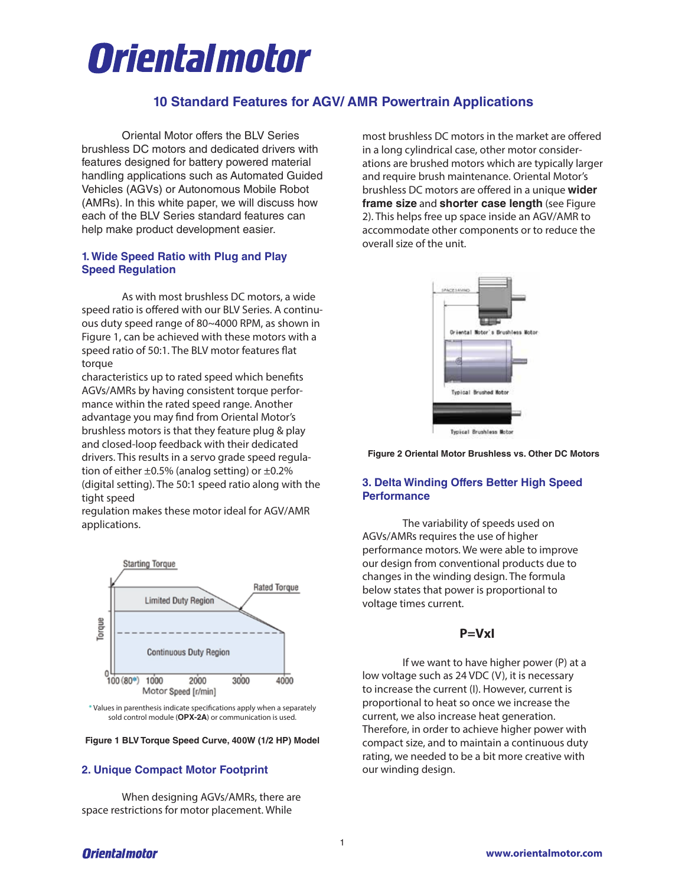# Oriental motor

# **10 Standard Features for AGV/ AMR Powertrain Applications**

 Oriental Motor offers the BLV Series brushless DC motors and dedicated drivers with features designed for battery powered material handling applications such as Automated Guided Vehicles (AGVs) or Autonomous Mobile Robot (AMRs). In this white paper, we will discuss how each of the BLV Series standard features can help make product development easier.

## **1. Wide Speed Ratio with Plug and Play Speed Regulation**

 As with most brushless DC motors, a wide speed ratio is offered with our BLV Series. A continuous duty speed range of 80~4000 RPM, as shown in Figure 1, can be achieved with these motors with a speed ratio of 50:1. The BLV motor features flat torque

characteristics up to rated speed which benefits AGVs/AMRs by having consistent torque performance within the rated speed range. Another advantage you may find from Oriental Motor's brushless motors is that they feature plug & play and closed-loop feedback with their dedicated drivers. This results in a servo grade speed regulation of either  $\pm 0.5\%$  (analog setting) or  $\pm 0.2\%$ (digital setting). The 50:1 speed ratio along with the tight speed

regulation makes these motor ideal for AGV/AMR applications.



\* Values in parenthesis indicate specifications apply when a separately sold control module (**OPX-2A**) or communication is used.

**Figure 1 BLV Torque Speed Curve, 400W (1/2 HP) Model**

#### **2. Unique Compact Motor Footprint**

When designing AGVs/AMRs, there are space restrictions for motor placement. While

most brushless DC motors in the market are offered in a long cylindrical case, other motor considerations are brushed motors which are typically larger and require brush maintenance. Oriental Motor's brushless DC motors are offered in a unique **wider frame size** and **shorter case length** (see Figure 2). This helps free up space inside an AGV/AMR to accommodate other components or to reduce the overall size of the unit.



**Figure 2 Oriental Motor Brushless vs. Other DC Motors**

# **3. Delta Winding Offers Better High Speed Performance**

 The variability of speeds used on AGVs/AMRs requires the use of higher performance motors. We were able to improve our design from conventional products due to changes in the winding design. The formula below states that power is proportional to voltage times current.

# **P=VxI**

 If we want to have higher power (P) at a low voltage such as 24 VDC (V), it is necessary to increase the current (I). However, current is proportional to heat so once we increase the current, we also increase heat generation. Therefore, in order to achieve higher power with compact size, and to maintain a continuous duty rating, we needed to be a bit more creative with our winding design.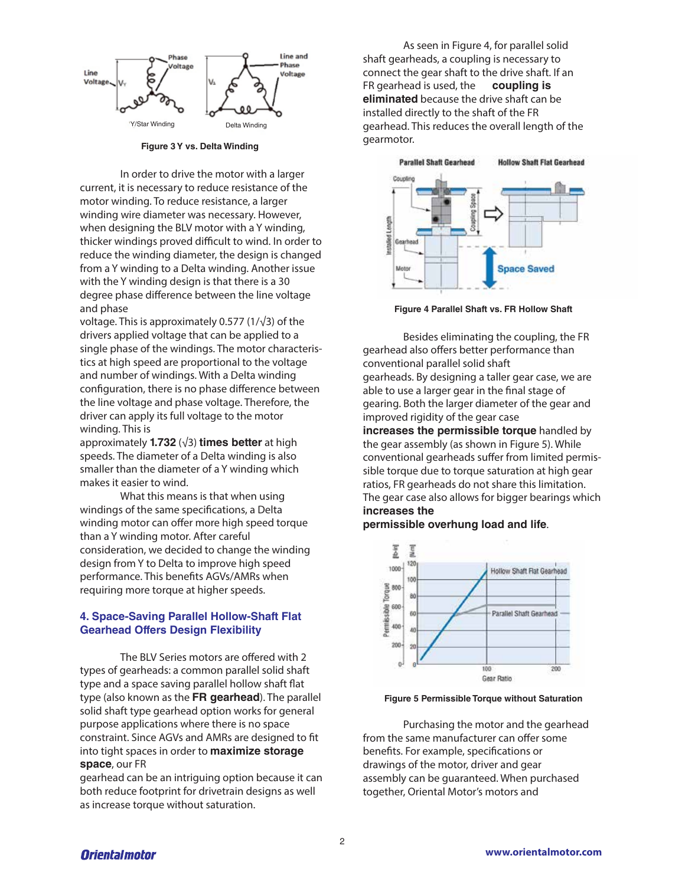

**Figure 3 Y vs. Delta Winding**

 In order to drive the motor with a larger current, it is necessary to reduce resistance of the motor winding. To reduce resistance, a larger winding wire diameter was necessary. However, when designing the BLV motor with a Y winding, thicker windings proved difficult to wind. In order to reduce the winding diameter, the design is changed from a Y winding to a Delta winding. Another issue with the Y winding design is that there is a 30 degree phase difference between the line voltage and phase

voltage. This is approximately 0.577 (1/√3) of the drivers applied voltage that can be applied to a single phase of the windings. The motor characteristics at high speed are proportional to the voltage and number of windings. With a Delta winding configuration, there is no phase difference between the line voltage and phase voltage. Therefore, the driver can apply its full voltage to the motor winding. This is

approximately **1.732** (√3) **times better** at high speeds. The diameter of a Delta winding is also smaller than the diameter of a Y winding which makes it easier to wind.

 What this means is that when using windings of the same specifications, a Delta winding motor can offer more high speed torque than a Y winding motor. After careful consideration, we decided to change the winding design from Y to Delta to improve high speed performance. This benefits AGVs/AMRs when requiring more torque at higher speeds.

#### **4. Space-Saving Parallel Hollow-Shaft Flat Gearhead Offers Design Flexibility**

The BLV Series motors are offered with 2 types of gearheads: a common parallel solid shaft type and a space saving parallel hollow shaft flat type (also known as the **FR gearhead**). The parallel solid shaft type gearhead option works for general purpose applications where there is no space constraint. Since AGVs and AMRs are designed to fit into tight spaces in order to **maximize storage space**, our FR

gearhead can be an intriguing option because it can both reduce footprint for drivetrain designs as well as increase torque without saturation.

 As seen in Figure 4, for parallel solid shaft gearheads, a coupling is necessary to connect the gear shaft to the drive shaft. If an FR gearhead is used, the **coupling is eliminated** because the drive shaft can be installed directly to the shaft of the FR gearhead. This reduces the overall length of the gearmotor.



**Figure 4 Parallel Shaft vs. FR Hollow Shaft**

 Besides eliminating the coupling, the FR gearhead also offers better performance than conventional parallel solid shaft gearheads. By designing a taller gear case, we are able to use a larger gear in the final stage of gearing. Both the larger diameter of the gear and improved rigidity of the gear case **increases the permissible torque** handled by the gear assembly (as shown in Figure 5). While conventional gearheads suffer from limited permissible torque due to torque saturation at high gear

ratios, FR gearheads do not share this limitation. The gear case also allows for bigger bearings which **increases the** 





**Figure 5 Permissible Torque without Saturation**

 Purchasing the motor and the gearhead from the same manufacturer can offer some benefits. For example, specifications or drawings of the motor, driver and gear assembly can be guaranteed. When purchased together, Oriental Motor's motors and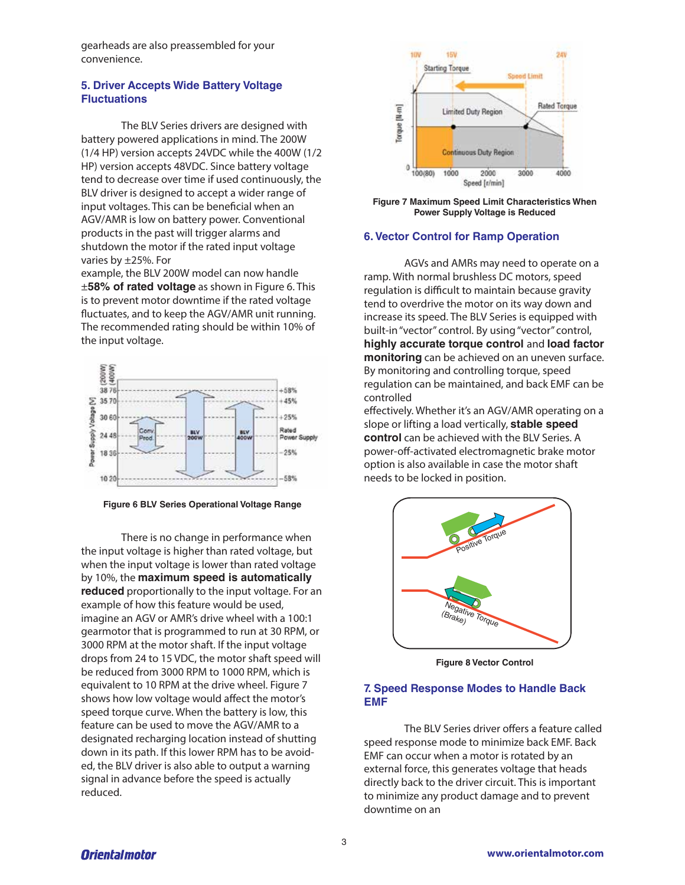gearheads are also preassembled for your convenience.

#### **5. Driver Accepts Wide Battery Voltage Fluctuations**

 The BLV Series drivers are designed with battery powered applications in mind. The 200W (1/4 HP) version accepts 24VDC while the 400W (1/2 HP) version accepts 48VDC. Since battery voltage tend to decrease over time if used continuously, the BLV driver is designed to accept a wider range of input voltages. This can be beneficial when an AGV/AMR is low on battery power. Conventional products in the past will trigger alarms and shutdown the motor if the rated input voltage varies by ±25%. For

example, the BLV 200W model can now handle ±**58% of rated voltage** as shown in Figure 6. This is to prevent motor downtime if the rated voltage fluctuates, and to keep the AGV/AMR unit running. The recommended rating should be within 10% of the input voltage.



**Figure 6 BLV Series Operational Voltage Range**

 There is no change in performance when the input voltage is higher than rated voltage, but when the input voltage is lower than rated voltage by 10%, the **maximum speed is automatically reduced** proportionally to the input voltage. For an example of how this feature would be used, imagine an AGV or AMR's drive wheel with a 100:1 gearmotor that is programmed to run at 30 RPM, or 3000 RPM at the motor shaft. If the input voltage drops from 24 to 15 VDC, the motor shaft speed will be reduced from 3000 RPM to 1000 RPM, which is equivalent to 10 RPM at the drive wheel. Figure 7 shows how low voltage would affect the motor's speed torque curve. When the battery is low, this feature can be used to move the AGV/AMR to a designated recharging location instead of shutting down in its path. If this lower RPM has to be avoided, the BLV driver is also able to output a warning signal in advance before the speed is actually reduced.



**Figure 7 Maximum Speed Limit Characteristics When Power Supply Voltage is Reduced**

### **6. Vector Control for Ramp Operation**

 AGVs and AMRs may need to operate on a ramp. With normal brushless DC motors, speed regulation is difficult to maintain because gravity tend to overdrive the motor on its way down and increase its speed. The BLV Series is equipped with built-in "vector" control. By using "vector" control, **highly accurate torque control** and **load factor monitoring** can be achieved on an uneven surface. By monitoring and controlling torque, speed regulation can be maintained, and back EMF can be controlled

effectively. Whether it's an AGV/AMR operating on a slope or lifting a load vertically, **stable speed control** can be achieved with the BLV Series. A power-off-activated electromagnetic brake motor option is also available in case the motor shaft needs to be locked in position.



**Figure 8 Vector Control**

#### **7. Speed Response Modes to Handle Back EMF**

The BLV Series driver offers a feature called speed response mode to minimize back EMF. Back EMF can occur when a motor is rotated by an external force, this generates voltage that heads directly back to the driver circuit. This is important to minimize any product damage and to prevent downtime on an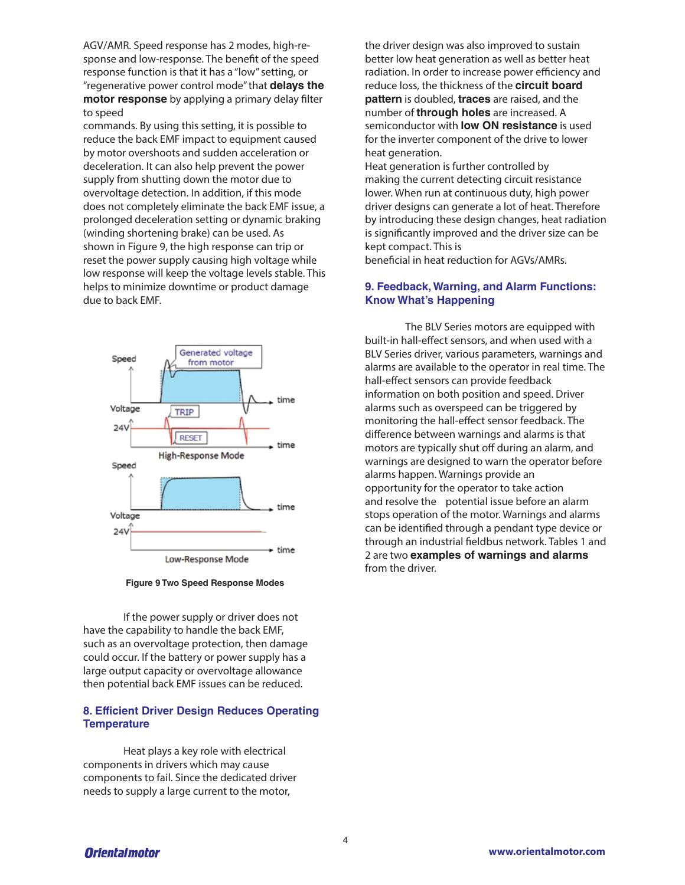AGV/AMR. Speed response has 2 modes, high-response and low-response. The benefit of the speed response function is that it has a "low" setting, or "regenerative power control mode" that **delays the motor response** by applying a primary delay filter to speed

commands. By using this setting, it is possible to reduce the back EMF impact to equipment caused by motor overshoots and sudden acceleration or deceleration. It can also help prevent the power supply from shutting down the motor due to overvoltage detection. In addition, if this mode does not completely eliminate the back EMF issue, a prolonged deceleration setting or dynamic braking (winding shortening brake) can be used. As shown in Figure 9, the high response can trip or reset the power supply causing high voltage while low response will keep the voltage levels stable. This helps to minimize downtime or product damage due to back EMF.



**Figure 9 Two Speed Response Modes**

If the power supply or driver does not have the capability to handle the back EMF, such as an overvoltage protection, then damage could occur. If the battery or power supply has a large output capacity or overvoltage allowance then potential back EMF issues can be reduced.

### **8. Efficient Driver Design Reduces Operating Temperature**

 Heat plays a key role with electrical components in drivers which may cause components to fail. Since the dedicated driver needs to supply a large current to the motor,

the driver design was also improved to sustain better low heat generation as well as better heat radiation. In order to increase power efficiency and reduce loss, the thickness of the **circuit board pattern** is doubled, **traces** are raised, and the number of **through holes** are increased. A semiconductor with **low ON resistance** is used for the inverter component of the drive to lower heat generation.

Heat generation is further controlled by making the current detecting circuit resistance lower. When run at continuous duty, high power driver designs can generate a lot of heat. Therefore by introducing these design changes, heat radiation is significantly improved and the driver size can be kept compact. This is

beneficial in heat reduction for AGVs/AMRs.

### **9. Feedback, Warning, and Alarm Functions: Know What's Happening**

 The BLV Series motors are equipped with built-in hall-effect sensors, and when used with a BLV Series driver, various parameters, warnings and alarms are available to the operator in real time. The hall-effect sensors can provide feedback information on both position and speed. Driver alarms such as overspeed can be triggered by monitoring the hall-effect sensor feedback. The difference between warnings and alarms is that motors are typically shut off during an alarm, and warnings are designed to warn the operator before alarms happen. Warnings provide an opportunity for the operator to take action and resolve the potential issue before an alarm stops operation of the motor. Warnings and alarms can be identified through a pendant type device or through an industrial fieldbus network. Tables 1 and 2 are two **examples of warnings and alarms** from the driver.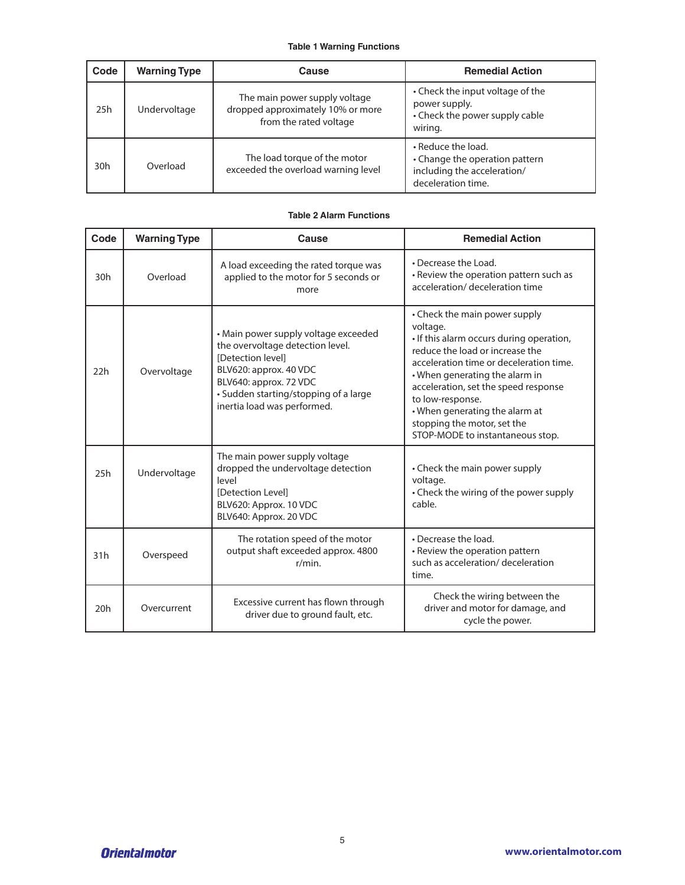### **Table 1 Warning Functions**

| Code            | <b>Warning Type</b> | Cause                                                                                        | <b>Remedial Action</b>                                                                                    |
|-----------------|---------------------|----------------------------------------------------------------------------------------------|-----------------------------------------------------------------------------------------------------------|
| 25h             | Undervoltage        | The main power supply voltage<br>dropped approximately 10% or more<br>from the rated voltage | • Check the input voltage of the<br>power supply.<br>• Check the power supply cable<br>wiring.            |
| 30 <sub>h</sub> | Overload            | The load torque of the motor<br>exceeded the overload warning level                          | • Reduce the load.<br>• Change the operation pattern<br>including the acceleration/<br>deceleration time. |

#### **Table 2 Alarm Functions**

| Code | <b>Warning Type</b> | Cause                                                                                                                                                                                                                     | <b>Remedial Action</b>                                                                                                                                                                                                                                                                                                                                                 |
|------|---------------------|---------------------------------------------------------------------------------------------------------------------------------------------------------------------------------------------------------------------------|------------------------------------------------------------------------------------------------------------------------------------------------------------------------------------------------------------------------------------------------------------------------------------------------------------------------------------------------------------------------|
| 30h  | Overload            | A load exceeding the rated torque was<br>applied to the motor for 5 seconds or<br>more                                                                                                                                    | • Decrease the Load.<br>• Review the operation pattern such as<br>acceleration/ deceleration time                                                                                                                                                                                                                                                                      |
| 22h  | Overvoltage         | • Main power supply voltage exceeded<br>the overvoltage detection level.<br>[Detection level]<br>BLV620: approx. 40 VDC<br>BLV640: approx. 72 VDC<br>• Sudden starting/stopping of a large<br>inertia load was performed. | • Check the main power supply<br>voltage.<br>. If this alarm occurs during operation,<br>reduce the load or increase the<br>acceleration time or deceleration time.<br>• When generating the alarm in<br>acceleration, set the speed response<br>to low-response.<br>• When generating the alarm at<br>stopping the motor, set the<br>STOP-MODE to instantaneous stop. |
| 25h  | Undervoltage        | The main power supply voltage<br>dropped the undervoltage detection<br>level<br>[Detection Level]<br>BLV620: Approx. 10 VDC<br>BLV640: Approx. 20 VDC                                                                     | • Check the main power supply<br>voltage.<br>• Check the wiring of the power supply<br>cable.                                                                                                                                                                                                                                                                          |
| 31h  | Overspeed           | The rotation speed of the motor<br>output shaft exceeded approx. 4800<br>$r/min$ .                                                                                                                                        | • Decrease the load.<br>• Review the operation pattern<br>such as acceleration/ deceleration<br>time.                                                                                                                                                                                                                                                                  |
| 20h  | Overcurrent         | Excessive current has flown through<br>driver due to ground fault, etc.                                                                                                                                                   | Check the wiring between the<br>driver and motor for damage, and<br>cycle the power.                                                                                                                                                                                                                                                                                   |